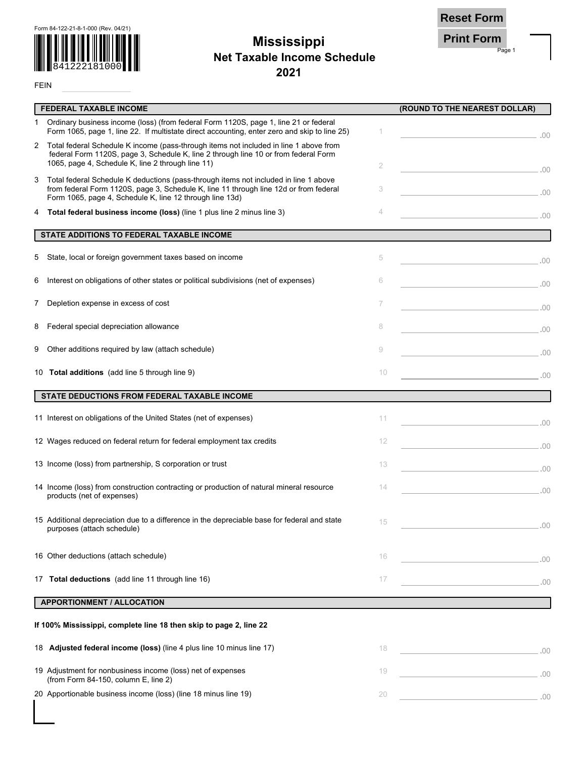

FEIN

## **Mississippi 2021 Net Taxable Income Schedule**



Page 1

|    | <b>FEDERAL TAXABLE INCOME</b>                                                                                                                                                                                                             |    | (ROUND TO THE NEAREST DOLLAR)                                                                                                                                                                                                        |
|----|-------------------------------------------------------------------------------------------------------------------------------------------------------------------------------------------------------------------------------------------|----|--------------------------------------------------------------------------------------------------------------------------------------------------------------------------------------------------------------------------------------|
| 1. | Ordinary business income (loss) (from federal Form 1120S, page 1, line 21 or federal<br>Form 1065, page 1, line 22. If multistate direct accounting, enter zero and skip to line 25)                                                      | 1  | $\sim$ 00.                                                                                                                                                                                                                           |
| 2  | Total federal Schedule K income (pass-through items not included in line 1 above from<br>federal Form 1120S, page 3, Schedule K, line 2 through line 10 or from federal Form<br>1065, page 4, Schedule K, line 2 through line 11)         | 2  | .00                                                                                                                                                                                                                                  |
| 3  | Total federal Schedule K deductions (pass-through items not included in line 1 above<br>from federal Form 1120S, page 3, Schedule K, line 11 through line 12d or from federal<br>Form 1065, page 4, Schedule K, line 12 through line 13d) | 3  | $\sim$ 00 $\sim$ 00 $\sim$                                                                                                                                                                                                           |
| 4  | Total federal business income (loss) (line 1 plus line 2 minus line 3)                                                                                                                                                                    | 4  | $\sim$ 00 $\sim$                                                                                                                                                                                                                     |
|    | STATE ADDITIONS TO FEDERAL TAXABLE INCOME                                                                                                                                                                                                 |    | <u> 1990 - Jan Stein Berg, mars an t-Amerikaansk politiker (</u>                                                                                                                                                                     |
| 5. | State, local or foreign government taxes based on income                                                                                                                                                                                  | 5  |                                                                                                                                                                                                                                      |
| 6  | Interest on obligations of other states or political subdivisions (net of expenses)                                                                                                                                                       | 6  |                                                                                                                                                                                                                                      |
| 7. | Depletion expense in excess of cost                                                                                                                                                                                                       | 7  |                                                                                                                                                                                                                                      |
| 8  | Federal special depreciation allowance                                                                                                                                                                                                    | 8  |                                                                                                                                                                                                                                      |
| 9  | Other additions required by law (attach schedule)                                                                                                                                                                                         | 9  | <u>2009 - Carl Communication (Carl Communication)</u>                                                                                                                                                                                |
|    | 10 Total additions (add line 5 through line 9)                                                                                                                                                                                            | 10 | <u>2001 - Andrea State Andrea State Andrea State Andrea State Andrea State Andrea State Andrea State Andrea State Andrea State Andrea State Andrea State Andrea State Andrea State Andrea State Andrea State Andrea State Andrea</u> |
|    | STATE DEDUCTIONS FROM FEDERAL TAXABLE INCOME                                                                                                                                                                                              |    |                                                                                                                                                                                                                                      |
|    | 11 Interest on obligations of the United States (net of expenses)                                                                                                                                                                         | 11 |                                                                                                                                                                                                                                      |
|    | 12 Wages reduced on federal return for federal employment tax credits                                                                                                                                                                     | 12 |                                                                                                                                                                                                                                      |
|    | 13 Income (loss) from partnership, S corporation or trust                                                                                                                                                                                 | 13 |                                                                                                                                                                                                                                      |
|    | 14 Income (loss) from construction contracting or production of natural mineral resource<br>products (net of expenses)                                                                                                                    | 14 | $\sim$ 00.                                                                                                                                                                                                                           |
|    | 15 Additional depreciation due to a difference in the depreciable base for federal and state<br>purposes (attach schedule)                                                                                                                | 15 | .00                                                                                                                                                                                                                                  |
|    | 16 Other deductions (attach schedule)                                                                                                                                                                                                     | 16 | .00                                                                                                                                                                                                                                  |
|    | 17 Total deductions (add line 11 through line 16)                                                                                                                                                                                         | 17 | the control of the control of the control<br>.00                                                                                                                                                                                     |
|    | <b>APPORTIONMENT / ALLOCATION</b>                                                                                                                                                                                                         |    |                                                                                                                                                                                                                                      |
|    | If 100% Mississippi, complete line 18 then skip to page 2, line 22                                                                                                                                                                        |    |                                                                                                                                                                                                                                      |
|    | 18 Adjusted federal income (loss) (line 4 plus line 10 minus line 17)                                                                                                                                                                     | 18 |                                                                                                                                                                                                                                      |
|    | 19 Adjustment for nonbusiness income (loss) net of expenses<br>(from Form 84-150, column E, line 2)                                                                                                                                       | 19 |                                                                                                                                                                                                                                      |
|    | 20 Apportionable business income (loss) (line 18 minus line 19)                                                                                                                                                                           | 20 | $\sim$ 00.                                                                                                                                                                                                                           |